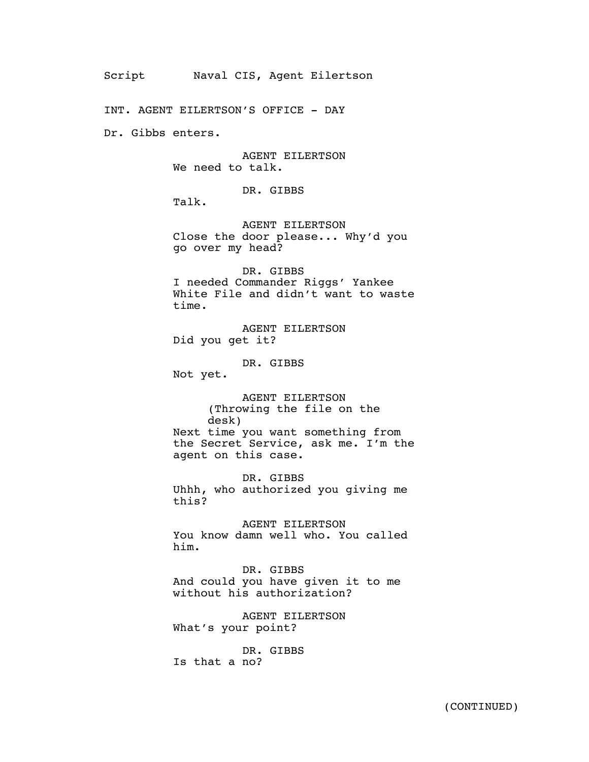INT. AGENT EILERTSON'S OFFICE - DAY

Dr. Gibbs enters.

AGENT EILERTSON We need to talk.

DR. GIBBS

Talk.

AGENT EILERTSON Close the door please... Why'd you go over my head?

DR. GIBBS I needed Commander Riggs' Yankee White File and didn't want to waste time.

AGENT EILERTSON Did you get it?

DR. GIBBS

Not yet.

AGENT EILERTSON (Throwing the file on the desk) Next time you want something from the Secret Service, ask me. I'm the agent on this case.

DR. GIBBS Uhhh, who authorized you giving me this?

AGENT EILERTSON You know damn well who. You called him.

DR. GIBBS And could you have given it to me without his authorization?

AGENT EILERTSON What's your point?

DR. GIBBS Is that a no?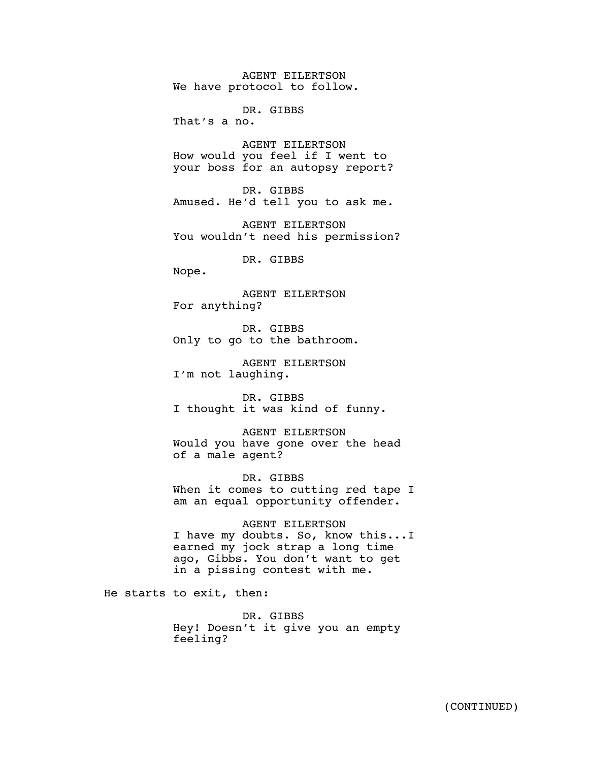AGENT EILERTSON We have protocol to follow.

DR. GIBBS

That's a no.

AGENT EILERTSON How would you feel if I went to your boss for an autopsy report?

DR. GIBBS Amused. He'd tell you to ask me.

AGENT EILERTSON You wouldn't need his permission?

DR. GIBBS

Nope.

AGENT EILERTSON For anything?

DR. GIBBS Only to go to the bathroom.

AGENT EILERTSON I'm not laughing.

DR. GIBBS I thought it was kind of funny.

AGENT EILERTSON Would you have gone over the head of a male agent?

DR. GIBBS When it comes to cutting red tape I am an equal opportunity offender.

AGENT EILERTSON I have my doubts. So, know this...I earned my jock strap a long time ago, Gibbs. You don't want to get in a pissing contest with me.

He starts to exit, then:

DR. GIBBS Hey! Doesn't it give you an empty feeling?